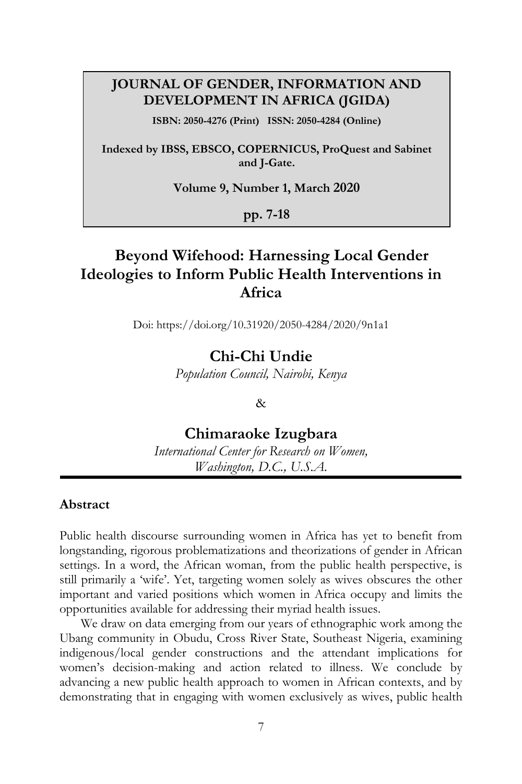#### **JOURNAL OF GENDER, INFORMATION AND DEVELOPMENT IN AFRICA (JGIDA)**

**ISBN: 2050-4276 (Print) ISSN: 2050-4284 (Online)**

**Indexed by IBSS, EBSCO, COPERNICUS, ProQuest and Sabinet and J-Gate.**

**Volume 9, Number 1, March 2020**

**pp. 7-18**

# **Beyond Wifehood: Harnessing Local Gender Ideologies to Inform Public Health Interventions in Africa**

Doi: https://doi.org/10.31920/2050-4284/2020/9n1a1

#### **Chi-Chi Undie**

*Population Council, Nairobi, Kenya*

#### &

#### **Chimaraoke Izugbara**

*International Center for Research on Women, Washington, D.C., U.S.A.*

#### **Abstract**

Public health discourse surrounding women in Africa has yet to benefit from longstanding, rigorous problematizations and theorizations of gender in African settings. In a word, the African woman, from the public health perspective, is still primarily a 'wife'. Yet, targeting women solely as wives obscures the other important and varied positions which women in Africa occupy and limits the opportunities available for addressing their myriad health issues.

We draw on data emerging from our years of ethnographic work among the Ubang community in Obudu, Cross River State, Southeast Nigeria, examining indigenous/local gender constructions and the attendant implications for women's decision-making and action related to illness. We conclude by advancing a new public health approach to women in African contexts, and by demonstrating that in engaging with women exclusively as wives, public health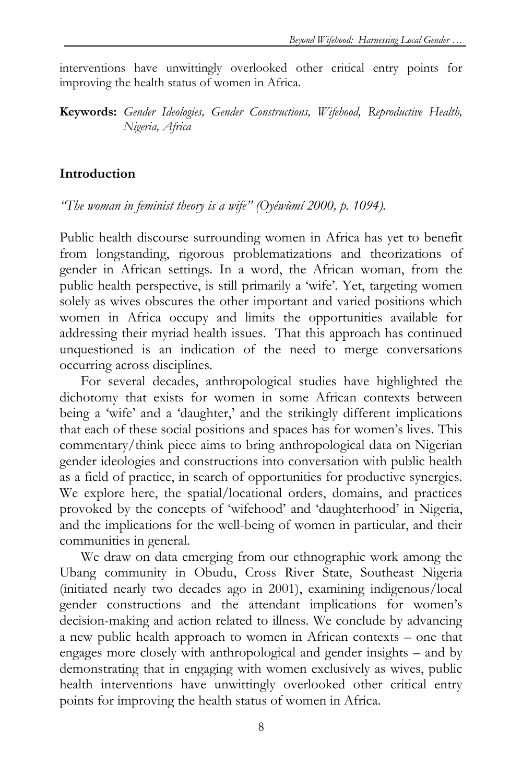interventions have unwittingly overlooked other critical entry points for improving the health status of women in Africa.

**Keywords:** *Gender Ideologies, Gender Constructions, Wifehood, Reproductive Health, Nigeria, Africa*

## **Introduction**

*"The woman in feminist theory is a wife" (Oyéwùmí 2000, p. 1094).*

Public health discourse surrounding women in Africa has yet to benefit from longstanding, rigorous problematizations and theorizations of gender in African settings. In a word, the African woman, from the public health perspective, is still primarily a 'wife'. Yet, targeting women solely as wives obscures the other important and varied positions which women in Africa occupy and limits the opportunities available for addressing their myriad health issues. That this approach has continued unquestioned is an indication of the need to merge conversations occurring across disciplines.

For several decades, anthropological studies have highlighted the dichotomy that exists for women in some African contexts between being a 'wife' and a 'daughter,' and the strikingly different implications that each of these social positions and spaces has for women's lives. This commentary/think piece aims to bring anthropological data on Nigerian gender ideologies and constructions into conversation with public health as a field of practice, in search of opportunities for productive synergies. We explore here, the spatial/locational orders, domains, and practices provoked by the concepts of 'wifehood' and 'daughterhood' in Nigeria, and the implications for the well-being of women in particular, and their communities in general.

We draw on data emerging from our ethnographic work among the Ubang community in Obudu, Cross River State, Southeast Nigeria (initiated nearly two decades ago in 2001), examining indigenous/local gender constructions and the attendant implications for women's decision-making and action related to illness. We conclude by advancing a new public health approach to women in African contexts – one that engages more closely with anthropological and gender insights – and by demonstrating that in engaging with women exclusively as wives, public health interventions have unwittingly overlooked other critical entry points for improving the health status of women in Africa.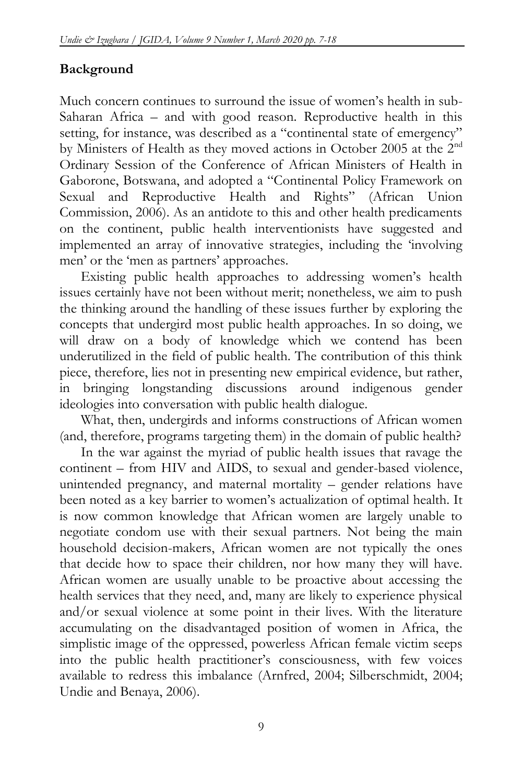## **Background**

Much concern continues to surround the issue of women's health in sub-Saharan Africa – and with good reason. Reproductive health in this setting, for instance, was described as a "continental state of emergency" by Ministers of Health as they moved actions in October 2005 at the 2nd Ordinary Session of the Conference of African Ministers of Health in Gaborone, Botswana, and adopted a "Continental Policy Framework on Sexual and Reproductive Health and Rights" (African Union Commission, 2006). As an antidote to this and other health predicaments on the continent, public health interventionists have suggested and implemented an array of innovative strategies, including the 'involving men' or the 'men as partners' approaches.

Existing public health approaches to addressing women's health issues certainly have not been without merit; nonetheless, we aim to push the thinking around the handling of these issues further by exploring the concepts that undergird most public health approaches. In so doing, we will draw on a body of knowledge which we contend has been underutilized in the field of public health. The contribution of this think piece, therefore, lies not in presenting new empirical evidence, but rather, in bringing longstanding discussions around indigenous gender ideologies into conversation with public health dialogue.

What, then, undergirds and informs constructions of African women (and, therefore, programs targeting them) in the domain of public health?

In the war against the myriad of public health issues that ravage the continent – from HIV and AIDS, to sexual and gender-based violence, unintended pregnancy, and maternal mortality – gender relations have been noted as a key barrier to women's actualization of optimal health. It is now common knowledge that African women are largely unable to negotiate condom use with their sexual partners. Not being the main household decision-makers, African women are not typically the ones that decide how to space their children, nor how many they will have. African women are usually unable to be proactive about accessing the health services that they need, and, many are likely to experience physical and/or sexual violence at some point in their lives. With the literature accumulating on the disadvantaged position of women in Africa, the simplistic image of the oppressed, powerless African female victim seeps into the public health practitioner's consciousness, with few voices available to redress this imbalance (Arnfred, 2004; Silberschmidt, 2004; Undie and Benaya, 2006).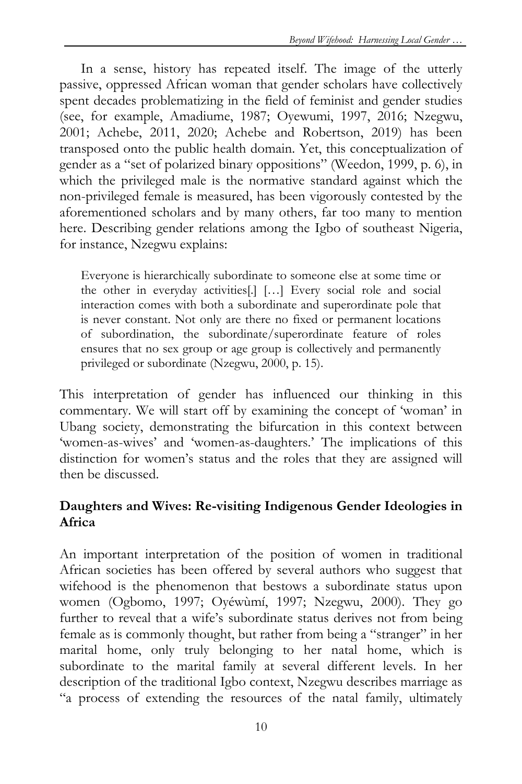In a sense, history has repeated itself. The image of the utterly passive, oppressed African woman that gender scholars have collectively spent decades problematizing in the field of feminist and gender studies (see, for example, Amadiume, 1987; Oyewumi, 1997, 2016; Nzegwu, 2001; Achebe, 2011, 2020; Achebe and Robertson, 2019) has been transposed onto the public health domain. Yet, this conceptualization of gender as a "set of polarized binary oppositions" (Weedon, 1999, p. 6), in which the privileged male is the normative standard against which the non-privileged female is measured, has been vigorously contested by the aforementioned scholars and by many others, far too many to mention here. Describing gender relations among the Igbo of southeast Nigeria, for instance, Nzegwu explains:

Everyone is hierarchically subordinate to someone else at some time or the other in everyday activities[.] […] Every social role and social interaction comes with both a subordinate and superordinate pole that is never constant. Not only are there no fixed or permanent locations of subordination, the subordinate/superordinate feature of roles ensures that no sex group or age group is collectively and permanently privileged or subordinate (Nzegwu, 2000, p. 15).

This interpretation of gender has influenced our thinking in this commentary. We will start off by examining the concept of 'woman' in Ubang society, demonstrating the bifurcation in this context between 'women-as-wives' and 'women-as-daughters.' The implications of this distinction for women's status and the roles that they are assigned will then be discussed.

## **Daughters and Wives: Re-visiting Indigenous Gender Ideologies in Africa**

An important interpretation of the position of women in traditional African societies has been offered by several authors who suggest that wifehood is the phenomenon that bestows a subordinate status upon women (Ogbomo, 1997; Oyéwùmí, 1997; Nzegwu, 2000). They go further to reveal that a wife's subordinate status derives not from being female as is commonly thought, but rather from being a "stranger" in her marital home, only truly belonging to her natal home, which is subordinate to the marital family at several different levels. In her description of the traditional Igbo context, Nzegwu describes marriage as "a process of extending the resources of the natal family, ultimately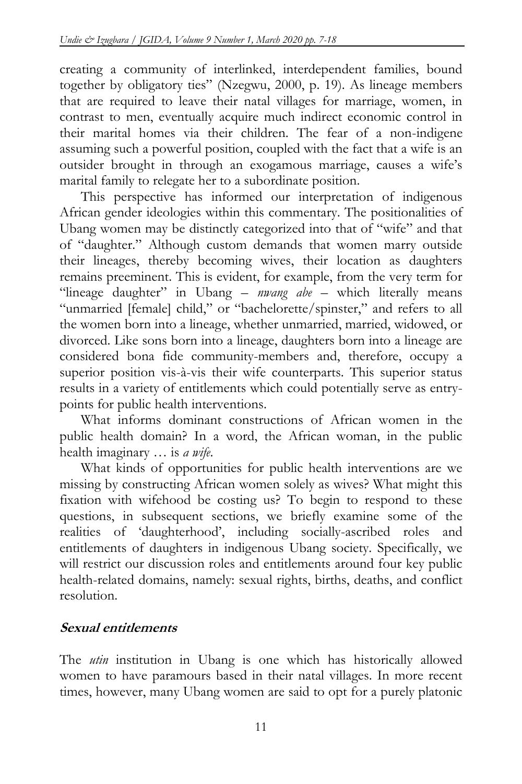creating a community of interlinked, interdependent families, bound together by obligatory ties" (Nzegwu, 2000, p. 19). As lineage members that are required to leave their natal villages for marriage, women, in contrast to men, eventually acquire much indirect economic control in their marital homes via their children. The fear of a non-indigene assuming such a powerful position, coupled with the fact that a wife is an outsider brought in through an exogamous marriage, causes a wife's marital family to relegate her to a subordinate position.

This perspective has informed our interpretation of indigenous African gender ideologies within this commentary. The positionalities of Ubang women may be distinctly categorized into that of "wife" and that of "daughter." Although custom demands that women marry outside their lineages, thereby becoming wives, their location as daughters remains preeminent. This is evident, for example, from the very term for "lineage daughter" in Ubang – *nwang abe* – which literally means "unmarried [female] child," or "bachelorette/spinster," and refers to all the women born into a lineage, whether unmarried, married, widowed, or divorced. Like sons born into a lineage, daughters born into a lineage are considered bona fide community-members and, therefore, occupy a superior position vis-à-vis their wife counterparts. This superior status results in a variety of entitlements which could potentially serve as entrypoints for public health interventions.

What informs dominant constructions of African women in the public health domain? In a word, the African woman, in the public health imaginary … is *a wife*.

What kinds of opportunities for public health interventions are we missing by constructing African women solely as wives? What might this fixation with wifehood be costing us? To begin to respond to these questions, in subsequent sections, we briefly examine some of the realities of 'daughterhood', including socially-ascribed roles and entitlements of daughters in indigenous Ubang society. Specifically, we will restrict our discussion roles and entitlements around four key public health-related domains, namely: sexual rights, births, deaths, and conflict resolution.

#### **Sexual entitlements**

The *utin* institution in Ubang is one which has historically allowed women to have paramours based in their natal villages. In more recent times, however, many Ubang women are said to opt for a purely platonic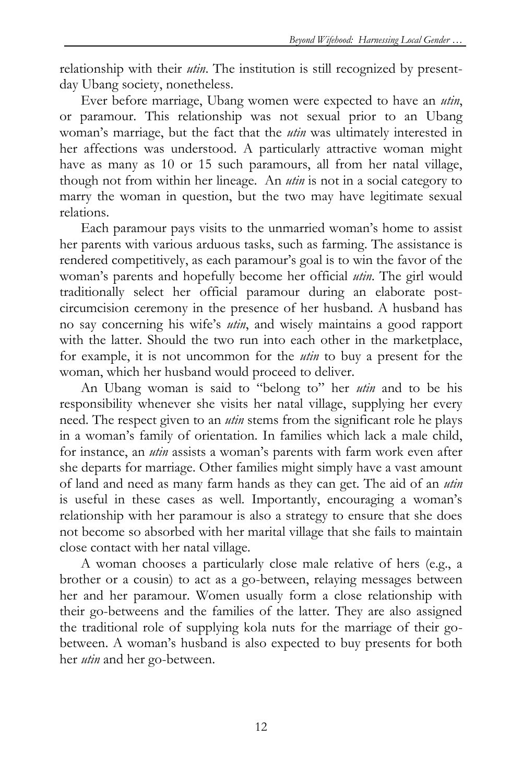relationship with their *utin*. The institution is still recognized by presentday Ubang society, nonetheless.

Ever before marriage, Ubang women were expected to have an *utin*, or paramour. This relationship was not sexual prior to an Ubang woman's marriage, but the fact that the *utin* was ultimately interested in her affections was understood. A particularly attractive woman might have as many as 10 or 15 such paramours, all from her natal village, though not from within her lineage. An *utin* is not in a social category to marry the woman in question, but the two may have legitimate sexual relations.

Each paramour pays visits to the unmarried woman's home to assist her parents with various arduous tasks, such as farming. The assistance is rendered competitively, as each paramour's goal is to win the favor of the woman's parents and hopefully become her official *utin*. The girl would traditionally select her official paramour during an elaborate postcircumcision ceremony in the presence of her husband. A husband has no say concerning his wife's *utin*, and wisely maintains a good rapport with the latter. Should the two run into each other in the marketplace, for example, it is not uncommon for the *utin* to buy a present for the woman, which her husband would proceed to deliver.

An Ubang woman is said to "belong to" her *utin* and to be his responsibility whenever she visits her natal village, supplying her every need. The respect given to an *utin* stems from the significant role he plays in a woman's family of orientation. In families which lack a male child, for instance, an *utin* assists a woman's parents with farm work even after she departs for marriage. Other families might simply have a vast amount of land and need as many farm hands as they can get. The aid of an *utin* is useful in these cases as well. Importantly, encouraging a woman's relationship with her paramour is also a strategy to ensure that she does not become so absorbed with her marital village that she fails to maintain close contact with her natal village.

A woman chooses a particularly close male relative of hers (e.g., a brother or a cousin) to act as a go-between, relaying messages between her and her paramour. Women usually form a close relationship with their go-betweens and the families of the latter. They are also assigned the traditional role of supplying kola nuts for the marriage of their gobetween. A woman's husband is also expected to buy presents for both her *utin* and her go-between.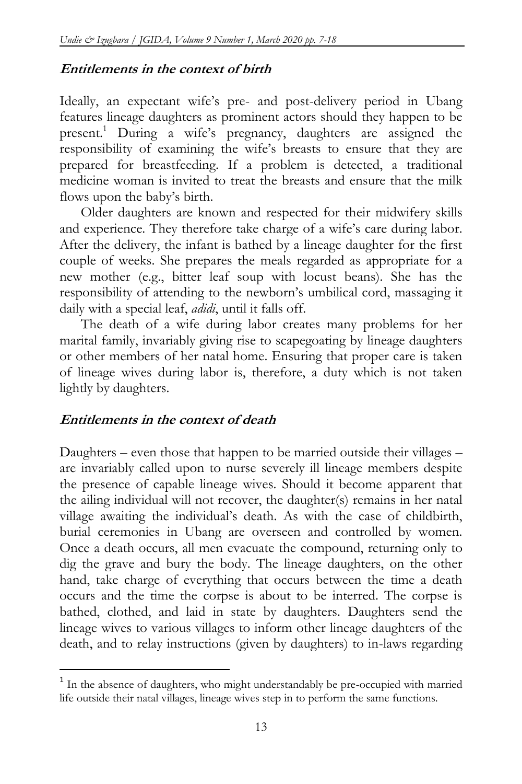#### **Entitlements in the context of birth**

Ideally, an expectant wife's pre- and post-delivery period in Ubang features lineage daughters as prominent actors should they happen to be present.<sup>1</sup> During a wife's pregnancy, daughters are assigned the responsibility of examining the wife's breasts to ensure that they are prepared for breastfeeding. If a problem is detected, a traditional medicine woman is invited to treat the breasts and ensure that the milk flows upon the baby's birth.

Older daughters are known and respected for their midwifery skills and experience. They therefore take charge of a wife's care during labor. After the delivery, the infant is bathed by a lineage daughter for the first couple of weeks. She prepares the meals regarded as appropriate for a new mother (e.g., bitter leaf soup with locust beans). She has the responsibility of attending to the newborn's umbilical cord, massaging it daily with a special leaf, *adidi*, until it falls off.

The death of a wife during labor creates many problems for her marital family, invariably giving rise to scapegoating by lineage daughters or other members of her natal home. Ensuring that proper care is taken of lineage wives during labor is, therefore, a duty which is not taken lightly by daughters.

#### **Entitlements in the context of death**

 $\overline{\phantom{a}}$ 

Daughters – even those that happen to be married outside their villages – are invariably called upon to nurse severely ill lineage members despite the presence of capable lineage wives. Should it become apparent that the ailing individual will not recover, the daughter(s) remains in her natal village awaiting the individual's death. As with the case of childbirth, burial ceremonies in Ubang are overseen and controlled by women. Once a death occurs, all men evacuate the compound, returning only to dig the grave and bury the body. The lineage daughters, on the other hand, take charge of everything that occurs between the time a death occurs and the time the corpse is about to be interred. The corpse is bathed, clothed, and laid in state by daughters. Daughters send the lineage wives to various villages to inform other lineage daughters of the death, and to relay instructions (given by daughters) to in-laws regarding

<sup>&</sup>lt;sup>1</sup> In the absence of daughters, who might understandably be pre-occupied with married life outside their natal villages, lineage wives step in to perform the same functions.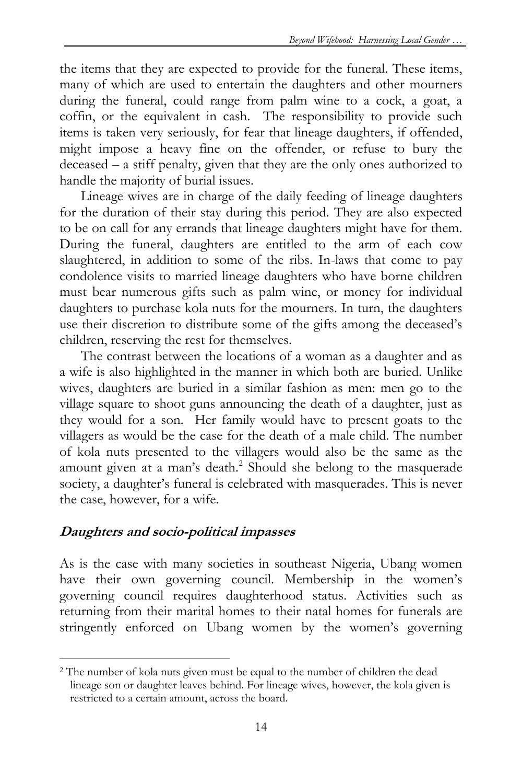the items that they are expected to provide for the funeral. These items, many of which are used to entertain the daughters and other mourners during the funeral, could range from palm wine to a cock, a goat, a coffin, or the equivalent in cash. The responsibility to provide such items is taken very seriously, for fear that lineage daughters, if offended, might impose a heavy fine on the offender, or refuse to bury the deceased – a stiff penalty, given that they are the only ones authorized to handle the majority of burial issues.

Lineage wives are in charge of the daily feeding of lineage daughters for the duration of their stay during this period. They are also expected to be on call for any errands that lineage daughters might have for them. During the funeral, daughters are entitled to the arm of each cow slaughtered, in addition to some of the ribs. In-laws that come to pay condolence visits to married lineage daughters who have borne children must bear numerous gifts such as palm wine, or money for individual daughters to purchase kola nuts for the mourners. In turn, the daughters use their discretion to distribute some of the gifts among the deceased's children, reserving the rest for themselves.

The contrast between the locations of a woman as a daughter and as a wife is also highlighted in the manner in which both are buried. Unlike wives, daughters are buried in a similar fashion as men: men go to the village square to shoot guns announcing the death of a daughter, just as they would for a son. Her family would have to present goats to the villagers as would be the case for the death of a male child. The number of kola nuts presented to the villagers would also be the same as the amount given at a man's death.<sup>2</sup> Should she belong to the masquerade society, a daughter's funeral is celebrated with masquerades. This is never the case, however, for a wife.

#### **Daughters and socio-political impasses**

As is the case with many societies in southeast Nigeria, Ubang women have their own governing council. Membership in the women's governing council requires daughterhood status. Activities such as returning from their marital homes to their natal homes for funerals are stringently enforced on Ubang women by the women's governing

 $\overline{a}$ <sup>2</sup> The number of kola nuts given must be equal to the number of children the dead lineage son or daughter leaves behind. For lineage wives, however, the kola given is restricted to a certain amount, across the board.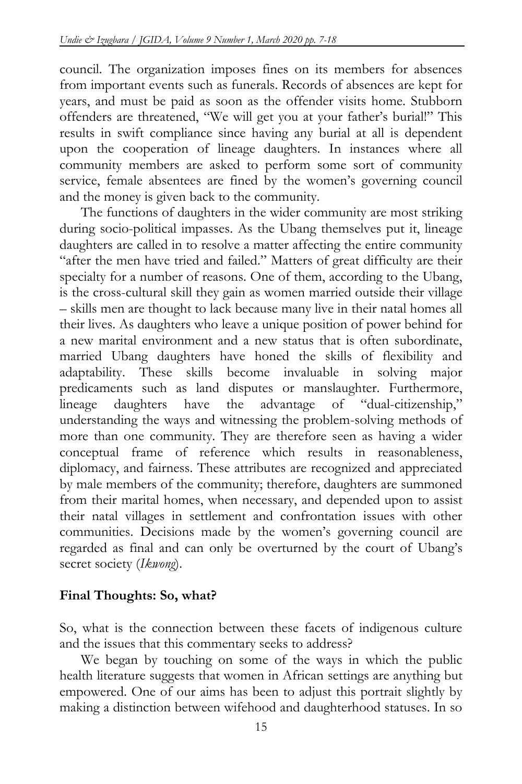council. The organization imposes fines on its members for absences from important events such as funerals. Records of absences are kept for years, and must be paid as soon as the offender visits home. Stubborn offenders are threatened, "We will get you at your father's burial!" This results in swift compliance since having any burial at all is dependent upon the cooperation of lineage daughters. In instances where all community members are asked to perform some sort of community service, female absentees are fined by the women's governing council and the money is given back to the community.

The functions of daughters in the wider community are most striking during socio-political impasses. As the Ubang themselves put it, lineage daughters are called in to resolve a matter affecting the entire community "after the men have tried and failed." Matters of great difficulty are their specialty for a number of reasons. One of them, according to the Ubang, is the cross-cultural skill they gain as women married outside their village – skills men are thought to lack because many live in their natal homes all their lives. As daughters who leave a unique position of power behind for a new marital environment and a new status that is often subordinate, married Ubang daughters have honed the skills of flexibility and adaptability. These skills become invaluable in solving major predicaments such as land disputes or manslaughter. Furthermore, lineage daughters have the advantage of "dual-citizenship," understanding the ways and witnessing the problem-solving methods of more than one community. They are therefore seen as having a wider conceptual frame of reference which results in reasonableness, diplomacy, and fairness. These attributes are recognized and appreciated by male members of the community; therefore, daughters are summoned from their marital homes, when necessary, and depended upon to assist their natal villages in settlement and confrontation issues with other communities. Decisions made by the women's governing council are regarded as final and can only be overturned by the court of Ubang's secret society (*Ikwong*).

#### **Final Thoughts: So, what?**

So, what is the connection between these facets of indigenous culture and the issues that this commentary seeks to address?

We began by touching on some of the ways in which the public health literature suggests that women in African settings are anything but empowered. One of our aims has been to adjust this portrait slightly by making a distinction between wifehood and daughterhood statuses. In so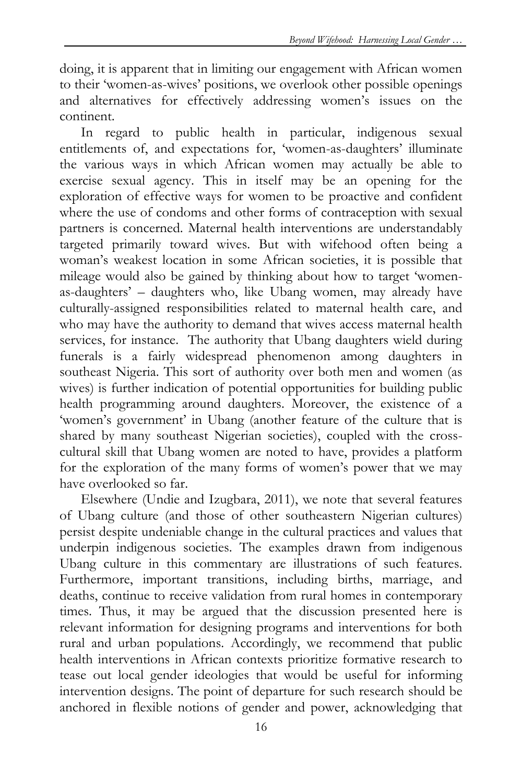doing, it is apparent that in limiting our engagement with African women to their 'women-as-wives' positions, we overlook other possible openings and alternatives for effectively addressing women's issues on the continent.

In regard to public health in particular, indigenous sexual entitlements of, and expectations for, 'women-as-daughters' illuminate the various ways in which African women may actually be able to exercise sexual agency. This in itself may be an opening for the exploration of effective ways for women to be proactive and confident where the use of condoms and other forms of contraception with sexual partners is concerned. Maternal health interventions are understandably targeted primarily toward wives. But with wifehood often being a woman's weakest location in some African societies, it is possible that mileage would also be gained by thinking about how to target 'womenas-daughters' – daughters who, like Ubang women, may already have culturally-assigned responsibilities related to maternal health care, and who may have the authority to demand that wives access maternal health services, for instance. The authority that Ubang daughters wield during funerals is a fairly widespread phenomenon among daughters in southeast Nigeria. This sort of authority over both men and women (as wives) is further indication of potential opportunities for building public health programming around daughters. Moreover, the existence of a 'women's government' in Ubang (another feature of the culture that is shared by many southeast Nigerian societies), coupled with the crosscultural skill that Ubang women are noted to have, provides a platform for the exploration of the many forms of women's power that we may have overlooked so far.

Elsewhere (Undie and Izugbara, 2011), we note that several features of Ubang culture (and those of other southeastern Nigerian cultures) persist despite undeniable change in the cultural practices and values that underpin indigenous societies. The examples drawn from indigenous Ubang culture in this commentary are illustrations of such features. Furthermore, important transitions, including births, marriage, and deaths, continue to receive validation from rural homes in contemporary times. Thus, it may be argued that the discussion presented here is relevant information for designing programs and interventions for both rural and urban populations. Accordingly, we recommend that public health interventions in African contexts prioritize formative research to tease out local gender ideologies that would be useful for informing intervention designs. The point of departure for such research should be anchored in flexible notions of gender and power, acknowledging that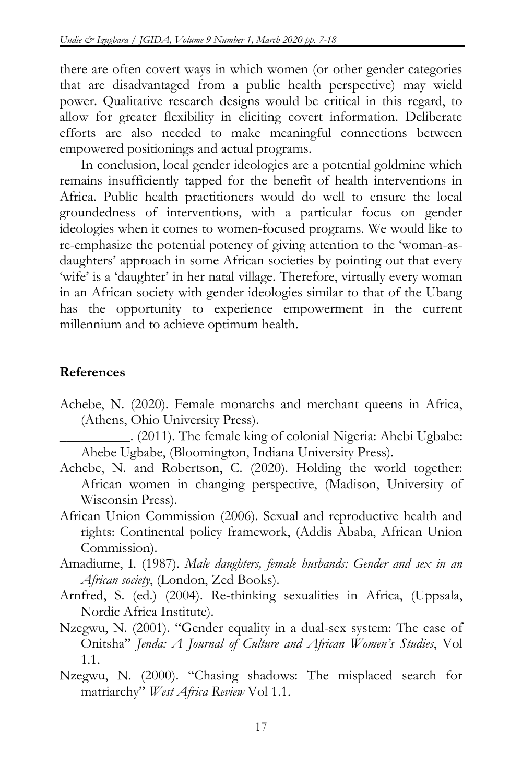there are often covert ways in which women (or other gender categories that are disadvantaged from a public health perspective) may wield power. Qualitative research designs would be critical in this regard, to allow for greater flexibility in eliciting covert information. Deliberate efforts are also needed to make meaningful connections between empowered positionings and actual programs.

In conclusion, local gender ideologies are a potential goldmine which remains insufficiently tapped for the benefit of health interventions in Africa. Public health practitioners would do well to ensure the local groundedness of interventions, with a particular focus on gender ideologies when it comes to women-focused programs. We would like to re-emphasize the potential potency of giving attention to the 'woman-asdaughters' approach in some African societies by pointing out that every 'wife' is a 'daughter' in her natal village. Therefore, virtually every woman in an African society with gender ideologies similar to that of the Ubang has the opportunity to experience empowerment in the current millennium and to achieve optimum health.

## **References**

Achebe, N. (2020). Female monarchs and merchant queens in Africa, (Athens, Ohio University Press).

\_\_\_\_\_\_\_\_\_\_. (2011). The female king of colonial Nigeria: Ahebi Ugbabe: Ahebe Ugbabe, (Bloomington, Indiana University Press).

- Achebe, N. and Robertson, C. (2020). Holding the world together: African women in changing perspective, (Madison, University of Wisconsin Press).
- African Union Commission (2006). Sexual and reproductive health and rights: Continental policy framework, (Addis Ababa, African Union Commission).
- Amadiume, I. (1987). *Male daughters, female husbands: Gender and sex in an African society*, (London, Zed Books).
- Arnfred, S. (ed.) (2004). Re-thinking sexualities in Africa, (Uppsala, Nordic Africa Institute).
- Nzegwu, N. (2001). "Gender equality in a dual-sex system: The case of Onitsha" *Jenda: A Journal of Culture and African Women's Studies*, Vol 1.1.
- Nzegwu, N. (2000). "Chasing shadows: The misplaced search for matriarchy" *West Africa Review* Vol 1.1.